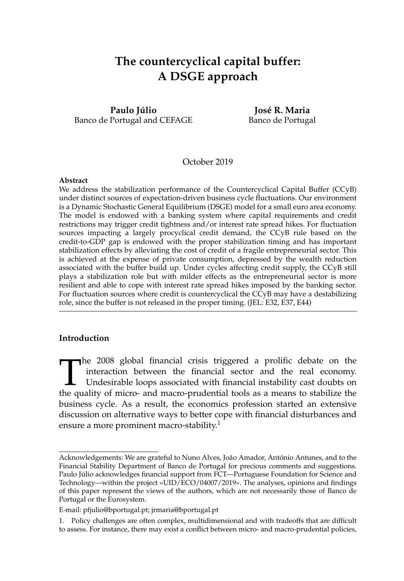# **The countercyclical capital buffer: A DSGE approach**

**Paulo Júlio** Banco de Portugal and CEFAGE

**José R. Maria** Banco de Portugal

## October 2019

#### **Abstract**

We address the stabilization performance of the Countercyclical Capital Buffer (CCyB) under distinct sources of expectation-driven business cycle fluctuations. Our environment is a Dynamic Stochastic General Equilibrium (DSGE) model for a small euro area economy. The model is endowed with a banking system where capital requirements and credit restrictions may trigger credit tightness and/or interest rate spread hikes. For fluctuation sources impacting a largely procyclical credit demand, the CCyB rule based on the credit-to-GDP gap is endowed with the proper stabilization timing and has important stabilization effects by alleviating the cost of credit of a fragile entrepreneurial sector. This is achieved at the expense of private consumption, depressed by the wealth reduction associated with the buffer build up. Under cycles affecting credit supply, the CCyB still plays a stabilization role but with milder effects as the entrepreneurial sector is more resilient and able to cope with interest rate spread hikes imposed by the banking sector. For fluctuation sources where credit is countercyclical the CCyB may have a destabilizing role, since the buffer is not released in the proper timing. (JEL: E32, E37, E44)

## **Introduction**

The 2008 global financial crisis triggered a prolific debate on the interaction between the financial sector and the real economy.<br>Undesirable loops associated with financial instability cast doubts on the quality of micro interaction between the financial sector and the real economy. Undesirable loops associated with financial instability cast doubts on the quality of micro- and macro-prudential tools as a means to stabilize the business cycle. As a result, the economics profession started an extensive discussion on alternative ways to better cope with financial disturbances and ensure a more prominent macro-stability.<sup>1</sup>

Acknowledgements: We are grateful to Nuno Alves, João Amador, António Antunes, and to the Financial Stability Department of Banco de Portugal for precious comments and suggestions. Paulo Júlio acknowledges financial support from FCT—Portuguese Foundation for Science and Technology—within the project «UID/ECO/04007/2019». The analyses, opinions and findings of this paper represent the views of the authors, which are not necessarily those of Banco de Portugal or the Eurosystem.

E-mail: pfjulio@bportugal.pt; jrmaria@bportugal.pt

<sup>1.</sup> Policy challenges are often complex, multidimensional and with tradeoffs that are difficult to assess. For instance, there may exist a conflict between micro- and macro-prudential policies,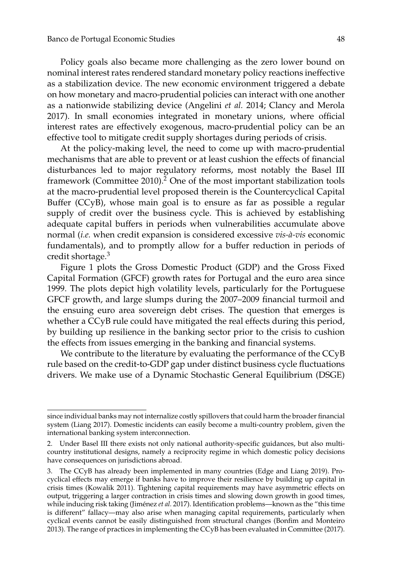Policy goals also became more challenging as the zero lower bound on nominal interest rates rendered standard monetary policy reactions ineffective as a stabilization device. The new economic environment triggered a debate on how monetary and macro-prudential policies can interact with one another as a nationwide stabilizing device (Angelini *et al.* 2014; Clancy and Merola 2017). In small economies integrated in monetary unions, where official interest rates are effectively exogenous, macro-prudential policy can be an effective tool to mitigate credit supply shortages during periods of crisis.

At the policy-making level, the need to come up with macro-prudential mechanisms that are able to prevent or at least cushion the effects of financial disturbances led to major regulatory reforms, most notably the Basel III framework (Committee 2010).<sup>2</sup> One of the most important stabilization tools at the macro-prudential level proposed therein is the Countercyclical Capital Buffer (CCyB), whose main goal is to ensure as far as possible a regular supply of credit over the business cycle. This is achieved by establishing adequate capital buffers in periods when vulnerabilities accumulate above normal (*i.e.* when credit expansion is considered excessive *vis-à-vis* economic fundamentals), and to promptly allow for a buffer reduction in periods of credit shortage.<sup>3</sup>

Figure 1 plots the Gross Domestic Product (GDP) and the Gross Fixed Capital Formation (GFCF) growth rates for Portugal and the euro area since 1999. The plots depict high volatility levels, particularly for the Portuguese GFCF growth, and large slumps during the 2007–2009 financial turmoil and the ensuing euro area sovereign debt crises. The question that emerges is whether a CCyB rule could have mitigated the real effects during this period, by building up resilience in the banking sector prior to the crisis to cushion the effects from issues emerging in the banking and financial systems.

We contribute to the literature by evaluating the performance of the CCyB rule based on the credit-to-GDP gap under distinct business cycle fluctuations drivers. We make use of a Dynamic Stochastic General Equilibrium (DSGE)

since individual banks may not internalize costly spillovers that could harm the broader financial system (Liang 2017). Domestic incidents can easily become a multi-country problem, given the international banking system interconnection.

<sup>2.</sup> Under Basel III there exists not only national authority-specific guidances, but also multicountry institutional designs, namely a reciprocity regime in which domestic policy decisions have consequences on jurisdictions abroad.

<sup>3.</sup> The CCyB has already been implemented in many countries (Edge and Liang 2019). Procyclical effects may emerge if banks have to improve their resilience by building up capital in crisis times (Kowalik 2011). Tightening capital requirements may have asymmetric effects on output, triggering a larger contraction in crisis times and slowing down growth in good times, while inducing risk taking (Jiménez *et al.* 2017). Identification problems—known as the "this time is different" fallacy—may also arise when managing capital requirements, particularly when cyclical events cannot be easily distinguished from structural changes (Bonfim and Monteiro 2013). The range of practices in implementing the CCyB has been evaluated in Committee (2017).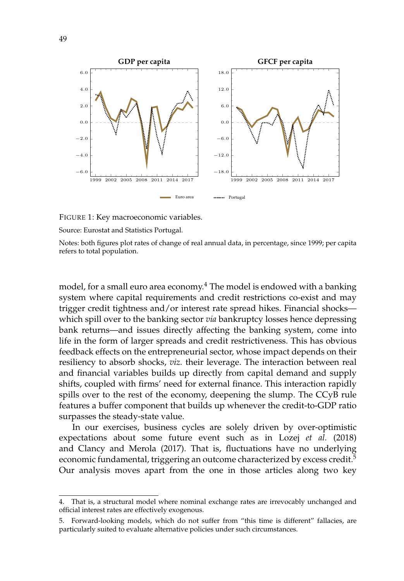

FIGURE 1: Key macroeconomic variables.

Source: Eurostat and Statistics Portugal.

Notes: both figures plot rates of change of real annual data, in percentage, since 1999; per capita refers to total population.

model, for a small euro area economy.<sup>4</sup> The model is endowed with a banking system where capital requirements and credit restrictions co-exist and may trigger credit tightness and/or interest rate spread hikes. Financial shocks which spill over to the banking sector *via* bankruptcy losses hence depressing bank returns—and issues directly affecting the banking system, come into life in the form of larger spreads and credit restrictiveness. This has obvious feedback effects on the entrepreneurial sector, whose impact depends on their resiliency to absorb shocks, *viz.* their leverage. The interaction between real and financial variables builds up directly from capital demand and supply shifts, coupled with firms' need for external finance. This interaction rapidly spills over to the rest of the economy, deepening the slump. The CCyB rule features a buffer component that builds up whenever the credit-to-GDP ratio surpasses the steady-state value.

In our exercises, business cycles are solely driven by over-optimistic expectations about some future event such as in Lozej *et al.* (2018) and Clancy and Merola (2017). That is, fluctuations have no underlying economic fundamental, triggering an outcome characterized by excess credit.<sup>5</sup> Our analysis moves apart from the one in those articles along two key

<sup>4.</sup> That is, a structural model where nominal exchange rates are irrevocably unchanged and official interest rates are effectively exogenous.

<sup>5.</sup> Forward-looking models, which do not suffer from "this time is different" fallacies, are particularly suited to evaluate alternative policies under such circumstances.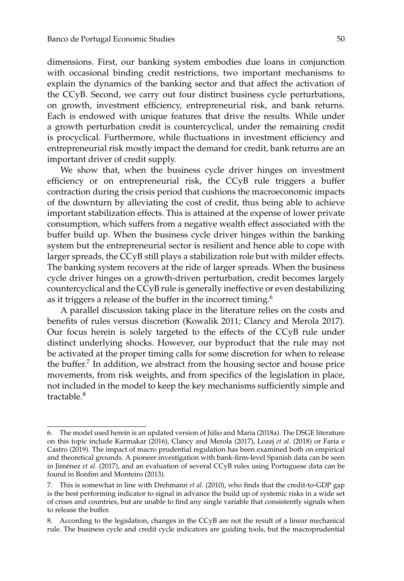dimensions. First, our banking system embodies due loans in conjunction with occasional binding credit restrictions, two important mechanisms to explain the dynamics of the banking sector and that affect the activation of the CCyB. Second, we carry out four distinct business cycle perturbations, on growth, investment efficiency, entrepreneurial risk, and bank returns. Each is endowed with unique features that drive the results. While under a growth perturbation credit is countercyclical, under the remaining credit is procyclical. Furthermore, while fluctuations in investment efficiency and entrepreneurial risk mostly impact the demand for credit, bank returns are an important driver of credit supply.

We show that, when the business cycle driver hinges on investment efficiency or on entrepreneurial risk, the CCyB rule triggers a buffer contraction during the crisis period that cushions the macroeconomic impacts of the downturn by alleviating the cost of credit, thus being able to achieve important stabilization effects. This is attained at the expense of lower private consumption, which suffers from a negative wealth effect associated with the buffer build up. When the business cycle driver hinges within the banking system but the entrepreneurial sector is resilient and hence able to cope with larger spreads, the CCyB still plays a stabilization role but with milder effects. The banking system recovers at the ride of larger spreads. When the business cycle driver hinges on a growth-driven perturbation, credit becomes largely countercyclical and the CCyB rule is generally ineffective or even destabilizing as it triggers a release of the buffer in the incorrect timing.<sup>6</sup>

A parallel discussion taking place in the literature relies on the costs and benefits of rules versus discretion (Kowalik 2011; Clancy and Merola 2017). Our focus herein is solely targeted to the effects of the CCyB rule under distinct underlying shocks. However, our byproduct that the rule may not be activated at the proper timing calls for some discretion for when to release the buffer.<sup>7</sup> In addition, we abstract from the housing sector and house price movements, from risk weights, and from specifics of the legislation in place, not included in the model to keep the key mechanisms sufficiently simple and tractable.<sup>8</sup>

<sup>6.</sup> The model used herein is an updated version of Júlio and Maria (2018a). The DSGE literature on this topic include Karmakar (2016), Clancy and Merola (2017), Lozej *et al.* (2018) or Faria e Castro (2019). The impact of macro prudential regulation has been examined both on empirical and theoretical grounds. A pioneer investigation with bank-firm-level Spanish data can be seen in Jiménez *et al.* (2017), and an evaluation of several CCyB rules using Portuguese data can be found in Bonfim and Monteiro (2013).

<sup>7.</sup> This is somewhat in line with Drehmann *et al.* (2010), who finds that the credit-to-GDP gap is the best performing indicator to signal in advance the build up of systemic risks in a wide set of crises and countries, but are unable to find any single variable that consistently signals when to release the buffer.

<sup>8.</sup> According to the legislation, changes in the CCyB are not the result of a linear mechanical rule. The business cycle and credit cycle indicators are guiding tools, but the macroprudential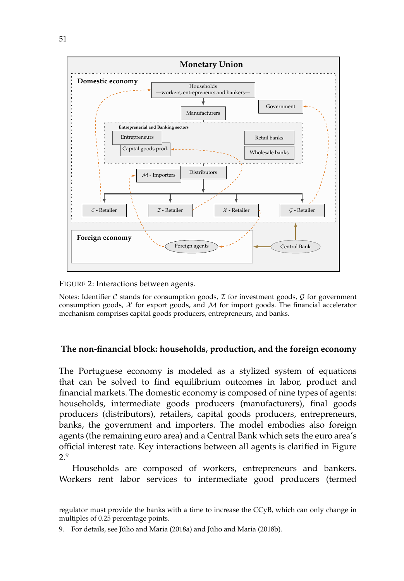

FIGURE 2: Interactions between agents.

Notes: Identifier  $C$  stands for consumption goods,  $\mathcal I$  for investment goods,  $\mathcal G$  for government consumption goods,  $X$  for export goods, and  $M$  for import goods. The financial accelerator mechanism comprises capital goods producers, entrepreneurs, and banks.

## **The non-financial block: households, production, and the foreign economy**

The Portuguese economy is modeled as a stylized system of equations that can be solved to find equilibrium outcomes in labor, product and financial markets. The domestic economy is composed of nine types of agents: households, intermediate goods producers (manufacturers), final goods producers (distributors), retailers, capital goods producers, entrepreneurs, banks, the government and importers. The model embodies also foreign agents (the remaining euro area) and a Central Bank which sets the euro area's official interest rate. Key interactions between all agents is clarified in Figure 2.9

Households are composed of workers, entrepreneurs and bankers. Workers rent labor services to intermediate good producers (termed

regulator must provide the banks with a time to increase the CCyB, which can only change in multiples of 0.25 percentage points.

<sup>9.</sup> For details, see Júlio and Maria (2018a) and Júlio and Maria (2018b).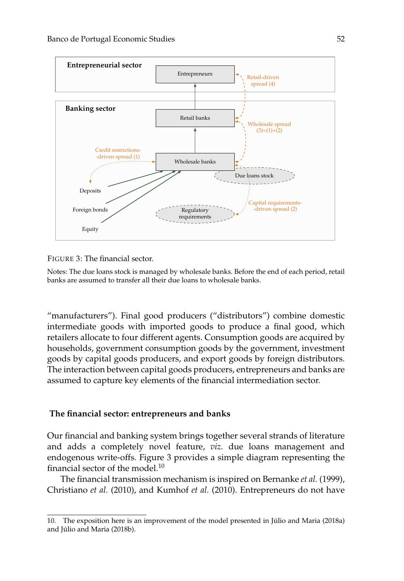

FIGURE 3: The financial sector.

Notes: The due loans stock is managed by wholesale banks. Before the end of each period, retail banks are assumed to transfer all their due loans to wholesale banks.

"manufacturers"). Final good producers ("distributors") combine domestic intermediate goods with imported goods to produce a final good, which retailers allocate to four different agents. Consumption goods are acquired by households, government consumption goods by the government, investment goods by capital goods producers, and export goods by foreign distributors. The interaction between capital goods producers, entrepreneurs and banks are assumed to capture key elements of the financial intermediation sector.

## **The financial sector: entrepreneurs and banks**

Our financial and banking system brings together several strands of literature and adds a completely novel feature, *viz.* due loans management and endogenous write-offs. Figure 3 provides a simple diagram representing the financial sector of the model.<sup>10</sup>

The financial transmission mechanism is inspired on Bernanke *et al.* (1999), Christiano *et al.* (2010), and Kumhof *et al.* (2010). Entrepreneurs do not have

<sup>10.</sup> The exposition here is an improvement of the model presented in Júlio and Maria (2018a) and Júlio and Maria (2018b).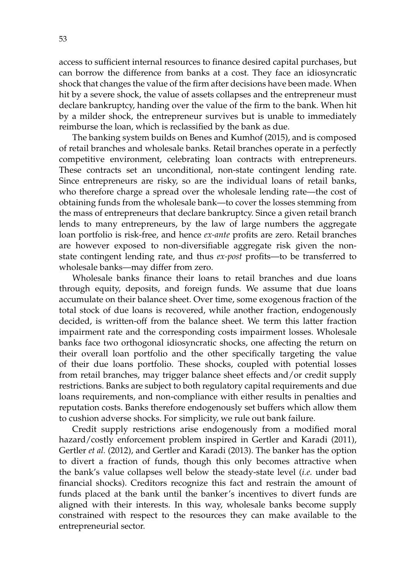access to sufficient internal resources to finance desired capital purchases, but can borrow the difference from banks at a cost. They face an idiosyncratic shock that changes the value of the firm after decisions have been made. When hit by a severe shock, the value of assets collapses and the entrepreneur must declare bankruptcy, handing over the value of the firm to the bank. When hit by a milder shock, the entrepreneur survives but is unable to immediately reimburse the loan, which is reclassified by the bank as due.

The banking system builds on Benes and Kumhof (2015), and is composed of retail branches and wholesale banks. Retail branches operate in a perfectly competitive environment, celebrating loan contracts with entrepreneurs. These contracts set an unconditional, non-state contingent lending rate. Since entrepreneurs are risky, so are the individual loans of retail banks, who therefore charge a spread over the wholesale lending rate—the cost of obtaining funds from the wholesale bank—to cover the losses stemming from the mass of entrepreneurs that declare bankruptcy. Since a given retail branch lends to many entrepreneurs, by the law of large numbers the aggregate loan portfolio is risk-free, and hence *ex-ante* profits are zero. Retail branches are however exposed to non-diversifiable aggregate risk given the nonstate contingent lending rate, and thus *ex-post* profits—to be transferred to wholesale banks—may differ from zero.

Wholesale banks finance their loans to retail branches and due loans through equity, deposits, and foreign funds. We assume that due loans accumulate on their balance sheet. Over time, some exogenous fraction of the total stock of due loans is recovered, while another fraction, endogenously decided, is written-off from the balance sheet. We term this latter fraction impairment rate and the corresponding costs impairment losses. Wholesale banks face two orthogonal idiosyncratic shocks, one affecting the return on their overall loan portfolio and the other specifically targeting the value of their due loans portfolio. These shocks, coupled with potential losses from retail branches, may trigger balance sheet effects and/or credit supply restrictions. Banks are subject to both regulatory capital requirements and due loans requirements, and non-compliance with either results in penalties and reputation costs. Banks therefore endogenously set buffers which allow them to cushion adverse shocks. For simplicity, we rule out bank failure.

Credit supply restrictions arise endogenously from a modified moral hazard/costly enforcement problem inspired in Gertler and Karadi (2011), Gertler *et al.* (2012), and Gertler and Karadi (2013). The banker has the option to divert a fraction of funds, though this only becomes attractive when the bank's value collapses well below the steady-state level (*i.e.* under bad financial shocks). Creditors recognize this fact and restrain the amount of funds placed at the bank until the banker's incentives to divert funds are aligned with their interests. In this way, wholesale banks become supply constrained with respect to the resources they can make available to the entrepreneurial sector.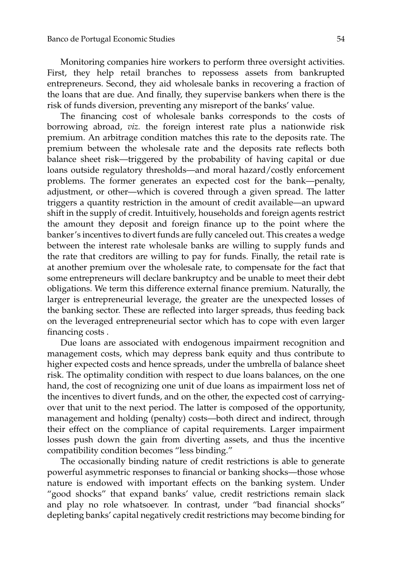Monitoring companies hire workers to perform three oversight activities. First, they help retail branches to repossess assets from bankrupted entrepreneurs. Second, they aid wholesale banks in recovering a fraction of the loans that are due. And finally, they supervise bankers when there is the risk of funds diversion, preventing any misreport of the banks' value.

The financing cost of wholesale banks corresponds to the costs of borrowing abroad, *viz.* the foreign interest rate plus a nationwide risk premium. An arbitrage condition matches this rate to the deposits rate. The premium between the wholesale rate and the deposits rate reflects both balance sheet risk—triggered by the probability of having capital or due loans outside regulatory thresholds—and moral hazard/costly enforcement problems. The former generates an expected cost for the bank—penalty, adjustment, or other—which is covered through a given spread. The latter triggers a quantity restriction in the amount of credit available—an upward shift in the supply of credit. Intuitively, households and foreign agents restrict the amount they deposit and foreign finance up to the point where the banker's incentives to divert funds are fully canceled out. This creates a wedge between the interest rate wholesale banks are willing to supply funds and the rate that creditors are willing to pay for funds. Finally, the retail rate is at another premium over the wholesale rate, to compensate for the fact that some entrepreneurs will declare bankruptcy and be unable to meet their debt obligations. We term this difference external finance premium. Naturally, the larger is entrepreneurial leverage, the greater are the unexpected losses of the banking sector. These are reflected into larger spreads, thus feeding back on the leveraged entrepreneurial sector which has to cope with even larger financing costs .

Due loans are associated with endogenous impairment recognition and management costs, which may depress bank equity and thus contribute to higher expected costs and hence spreads, under the umbrella of balance sheet risk. The optimality condition with respect to due loans balances, on the one hand, the cost of recognizing one unit of due loans as impairment loss net of the incentives to divert funds, and on the other, the expected cost of carryingover that unit to the next period. The latter is composed of the opportunity, management and holding (penalty) costs—both direct and indirect, through their effect on the compliance of capital requirements. Larger impairment losses push down the gain from diverting assets, and thus the incentive compatibility condition becomes "less binding."

The occasionally binding nature of credit restrictions is able to generate powerful asymmetric responses to financial or banking shocks—those whose nature is endowed with important effects on the banking system. Under "good shocks" that expand banks' value, credit restrictions remain slack and play no role whatsoever. In contrast, under "bad financial shocks" depleting banks' capital negatively credit restrictions may become binding for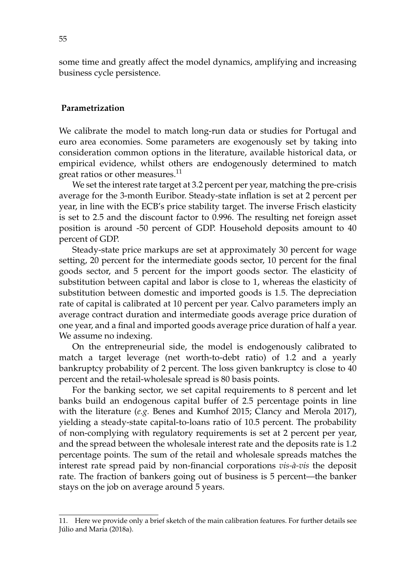some time and greatly affect the model dynamics, amplifying and increasing business cycle persistence.

#### **Parametrization**

We calibrate the model to match long-run data or studies for Portugal and euro area economies. Some parameters are exogenously set by taking into consideration common options in the literature, available historical data, or empirical evidence, whilst others are endogenously determined to match great ratios or other measures.<sup>11</sup>

We set the interest rate target at 3.2 percent per year, matching the pre-crisis average for the 3-month Euribor. Steady-state inflation is set at 2 percent per year, in line with the ECB's price stability target. The inverse Frisch elasticity is set to 2.5 and the discount factor to 0.996. The resulting net foreign asset position is around -50 percent of GDP. Household deposits amount to 40 percent of GDP.

Steady-state price markups are set at approximately 30 percent for wage setting, 20 percent for the intermediate goods sector, 10 percent for the final goods sector, and 5 percent for the import goods sector. The elasticity of substitution between capital and labor is close to 1, whereas the elasticity of substitution between domestic and imported goods is 1.5. The depreciation rate of capital is calibrated at 10 percent per year. Calvo parameters imply an average contract duration and intermediate goods average price duration of one year, and a final and imported goods average price duration of half a year. We assume no indexing.

On the entrepreneurial side, the model is endogenously calibrated to match a target leverage (net worth-to-debt ratio) of 1.2 and a yearly bankruptcy probability of 2 percent. The loss given bankruptcy is close to 40 percent and the retail-wholesale spread is 80 basis points.

For the banking sector, we set capital requirements to 8 percent and let banks build an endogenous capital buffer of 2.5 percentage points in line with the literature (*e.g.* Benes and Kumhof 2015; Clancy and Merola 2017), yielding a steady-state capital-to-loans ratio of 10.5 percent. The probability of non-complying with regulatory requirements is set at 2 percent per year, and the spread between the wholesale interest rate and the deposits rate is 1.2 percentage points. The sum of the retail and wholesale spreads matches the interest rate spread paid by non-financial corporations *vis-à-vis* the deposit rate. The fraction of bankers going out of business is 5 percent—the banker stays on the job on average around 5 years.

<sup>11.</sup> Here we provide only a brief sketch of the main calibration features. For further details see Júlio and Maria (2018a).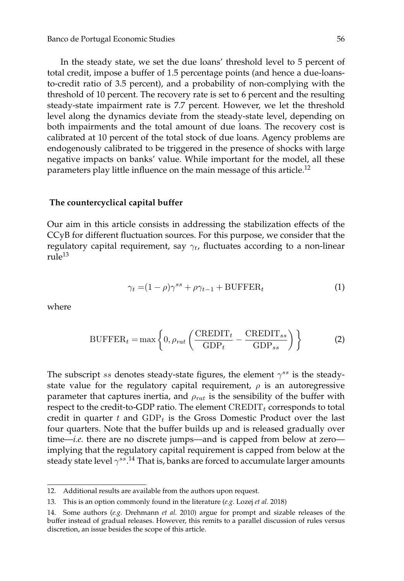In the steady state, we set the due loans' threshold level to 5 percent of total credit, impose a buffer of 1.5 percentage points (and hence a due-loansto-credit ratio of 3.5 percent), and a probability of non-complying with the threshold of 10 percent. The recovery rate is set to 6 percent and the resulting steady-state impairment rate is 7.7 percent. However, we let the threshold level along the dynamics deviate from the steady-state level, depending on both impairments and the total amount of due loans. The recovery cost is calibrated at 10 percent of the total stock of due loans. Agency problems are endogenously calibrated to be triggered in the presence of shocks with large negative impacts on banks' value. While important for the model, all these parameters play little influence on the main message of this article.<sup>12</sup>

#### **The countercyclical capital buffer**

Our aim in this article consists in addressing the stabilization effects of the CCyB for different fluctuation sources. For this purpose, we consider that the regulatory capital requirement, say  $\gamma_t$ , fluctuates according to a non-linear rule<sup>13</sup>

$$
\gamma_t = (1 - \rho)\gamma^{ss} + \rho\gamma_{t-1} + \text{BUFFER}_t \tag{1}
$$

where

$$
BUFFER_t = \max\left\{0, \rho_{rat} \left(\frac{CREDIT_t}{GDP_t} - \frac{CREDIT_{ss}}{GDP_{ss}}\right)\right\}
$$
 (2)

The subscript ss denotes steady-state figures, the element  $\gamma^{ss}$  is the steadystate value for the regulatory capital requirement,  $\rho$  is an autoregressive parameter that captures inertia, and  $\rho_{rat}$  is the sensibility of the buffer with respect to the credit-to-GDP ratio. The element  $\mathrm{CREDIT}_t$  corresponds to total credit in quarter t and  $GDP_t$  is the Gross Domestic Product over the last four quarters. Note that the buffer builds up and is released gradually over time—*i.e.* there are no discrete jumps—and is capped from below at zero implying that the regulatory capital requirement is capped from below at the steady state level  $\gamma^{ss}.$   $^{14}$  That is, banks are forced to accumulate larger amounts

<sup>12.</sup> Additional results are available from the authors upon request.

<sup>13.</sup> This is an option commonly found in the literature (*e.g.* Lozej *et al.* 2018)

<sup>14.</sup> Some authors (*e.g.* Drehmann *et al.* 2010) argue for prompt and sizable releases of the buffer instead of gradual releases. However, this remits to a parallel discussion of rules versus discretion, an issue besides the scope of this article.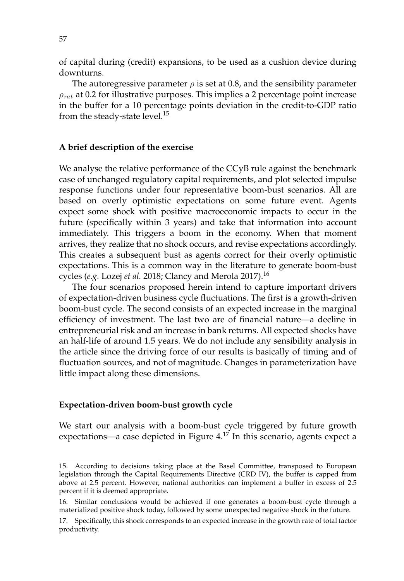of capital during (credit) expansions, to be used as a cushion device during downturns.

The autoregressive parameter  $\rho$  is set at 0.8, and the sensibility parameter  $\rho_{rat}$  at 0.2 for illustrative purposes. This implies a 2 percentage point increase in the buffer for a 10 percentage points deviation in the credit-to-GDP ratio from the steady-state level.<sup>15</sup>

## **A brief description of the exercise**

We analyse the relative performance of the CCyB rule against the benchmark case of unchanged regulatory capital requirements, and plot selected impulse response functions under four representative boom-bust scenarios. All are based on overly optimistic expectations on some future event. Agents expect some shock with positive macroeconomic impacts to occur in the future (specifically within 3 years) and take that information into account immediately. This triggers a boom in the economy. When that moment arrives, they realize that no shock occurs, and revise expectations accordingly. This creates a subsequent bust as agents correct for their overly optimistic expectations. This is a common way in the literature to generate boom-bust cycles (*e.g.* Lozej *et al.* 2018; Clancy and Merola 2017).<sup>16</sup>

The four scenarios proposed herein intend to capture important drivers of expectation-driven business cycle fluctuations. The first is a growth-driven boom-bust cycle. The second consists of an expected increase in the marginal efficiency of investment. The last two are of financial nature—a decline in entrepreneurial risk and an increase in bank returns. All expected shocks have an half-life of around 1.5 years. We do not include any sensibility analysis in the article since the driving force of our results is basically of timing and of fluctuation sources, and not of magnitude. Changes in parameterization have little impact along these dimensions.

## **Expectation-driven boom-bust growth cycle**

We start our analysis with a boom-bust cycle triggered by future growth expectations—a case depicted in Figure  $4.1<sup>7</sup>$  In this scenario, agents expect a

<sup>15.</sup> According to decisions taking place at the Basel Committee, transposed to European legislation through the Capital Requirements Directive (CRD IV), the buffer is capped from above at 2.5 percent. However, national authorities can implement a buffer in excess of 2.5 percent if it is deemed appropriate.

<sup>16.</sup> Similar conclusions would be achieved if one generates a boom-bust cycle through a materialized positive shock today, followed by some unexpected negative shock in the future.

<sup>17.</sup> Specifically, this shock corresponds to an expected increase in the growth rate of total factor productivity.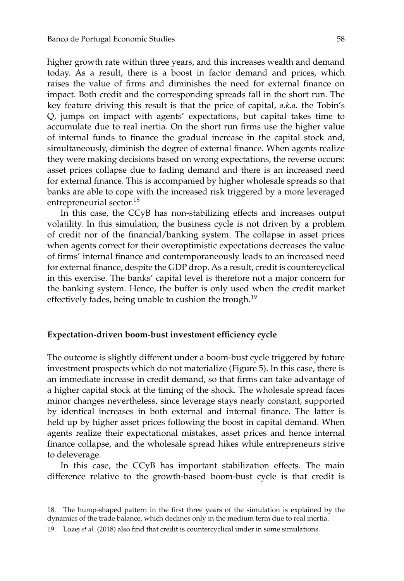higher growth rate within three years, and this increases wealth and demand today. As a result, there is a boost in factor demand and prices, which raises the value of firms and diminishes the need for external finance on impact. Both credit and the corresponding spreads fall in the short run. The key feature driving this result is that the price of capital, *a.k.a.* the Tobin's Q, jumps on impact with agents' expectations, but capital takes time to accumulate due to real inertia. On the short run firms use the higher value of internal funds to finance the gradual increase in the capital stock and, simultaneously, diminish the degree of external finance. When agents realize they were making decisions based on wrong expectations, the reverse occurs: asset prices collapse due to fading demand and there is an increased need for external finance. This is accompanied by higher wholesale spreads so that banks are able to cope with the increased risk triggered by a more leveraged entrepreneurial sector.<sup>18</sup>

In this case, the CCyB has non-stabilizing effects and increases output volatility. In this simulation, the business cycle is not driven by a problem of credit nor of the financial/banking system. The collapse in asset prices when agents correct for their overoptimistic expectations decreases the value of firms' internal finance and contemporaneously leads to an increased need for external finance, despite the GDP drop. As a result, credit is countercyclical in this exercise. The banks' capital level is therefore not a major concern for the banking system. Hence, the buffer is only used when the credit market effectively fades, being unable to cushion the trough.<sup>19</sup>

#### **Expectation-driven boom-bust investment efficiency cycle**

The outcome is slightly different under a boom-bust cycle triggered by future investment prospects which do not materialize (Figure 5). In this case, there is an immediate increase in credit demand, so that firms can take advantage of a higher capital stock at the timing of the shock. The wholesale spread faces minor changes nevertheless, since leverage stays nearly constant, supported by identical increases in both external and internal finance. The latter is held up by higher asset prices following the boost in capital demand. When agents realize their expectational mistakes, asset prices and hence internal finance collapse, and the wholesale spread hikes while entrepreneurs strive to deleverage.

In this case, the CCyB has important stabilization effects. The main difference relative to the growth-based boom-bust cycle is that credit is

<sup>18.</sup> The hump-shaped pattern in the first three years of the simulation is explained by the dynamics of the trade balance, which declines only in the medium term due to real inertia.

<sup>19.</sup> Lozej *et al.* (2018) also find that credit is countercyclical under in some simulations.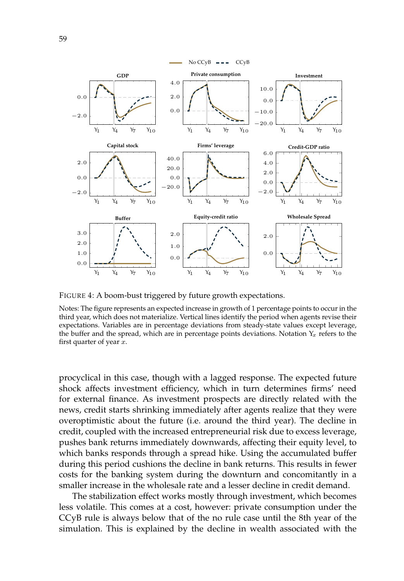

FIGURE 4: A boom-bust triggered by future growth expectations.

procyclical in this case, though with a lagged response. The expected future shock affects investment efficiency, which in turn determines firms' need for external finance. As investment prospects are directly related with the news, credit starts shrinking immediately after agents realize that they were overoptimistic about the future (i.e. around the third year). The decline in credit, coupled with the increased entrepreneurial risk due to excess leverage, pushes bank returns immediately downwards, affecting their equity level, to which banks responds through a spread hike. Using the accumulated buffer during this period cushions the decline in bank returns. This results in fewer costs for the banking system during the downturn and concomitantly in a smaller increase in the wholesale rate and a lesser decline in credit demand.

The stabilization effect works mostly through investment, which becomes less volatile. This comes at a cost, however: private consumption under the CCyB rule is always below that of the no rule case until the 8th year of the simulation. This is explained by the decline in wealth associated with the

Notes: The figure represents an expected increase in growth of 1 percentage points to occur in the third year, which does not materialize. Vertical lines identify the period when agents revise their expectations. Variables are in percentage deviations from steady-state values except leverage, the buffer and the spread, which are in percentage points deviations. Notation  $Y_x$  refers to the first quarter of year  $x$ .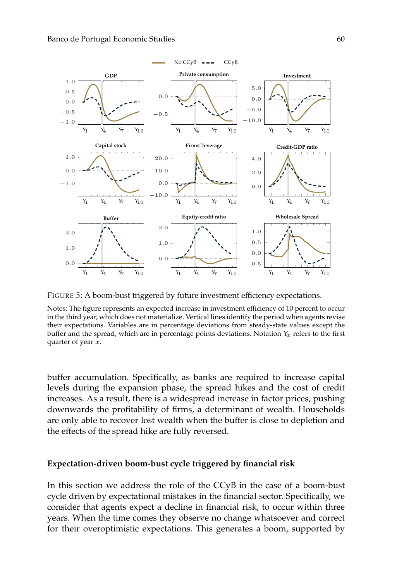

FIGURE 5: A boom-bust triggered by future investment efficiency expectations.

Notes: The figure represents an expected increase in investment efficiency of 10 percent to occur in the third year, which does not materialize. Vertical lines identify the period when agents revise their expectations. Variables are in percentage deviations from steady-state values except the buffer and the spread, which are in percentage points deviations. Notation  $Y_x$  refers to the first quarter of year  $x$ .

buffer accumulation. Specifically, as banks are required to increase capital levels during the expansion phase, the spread hikes and the cost of credit increases. As a result, there is a widespread increase in factor prices, pushing downwards the profitability of firms, a determinant of wealth. Households are only able to recover lost wealth when the buffer is close to depletion and the effects of the spread hike are fully reversed.

#### **Expectation-driven boom-bust cycle triggered by financial risk**

In this section we address the role of the CCyB in the case of a boom-bust cycle driven by expectational mistakes in the financial sector. Specifically, we consider that agents expect a decline in financial risk, to occur within three years. When the time comes they observe no change whatsoever and correct for their overoptimistic expectations. This generates a boom, supported by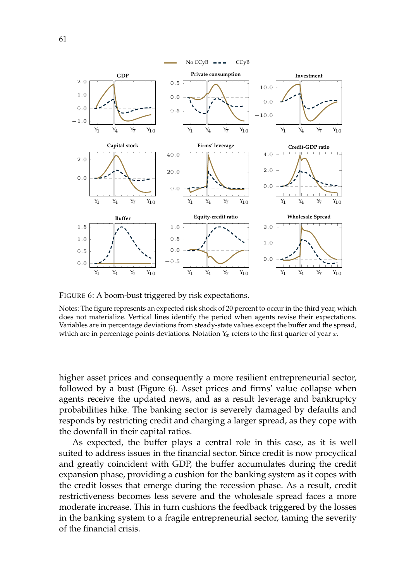

FIGURE 6: A boom-bust triggered by risk expectations.

higher asset prices and consequently a more resilient entrepreneurial sector, followed by a bust (Figure 6). Asset prices and firms' value collapse when agents receive the updated news, and as a result leverage and bankruptcy probabilities hike. The banking sector is severely damaged by defaults and responds by restricting credit and charging a larger spread, as they cope with the downfall in their capital ratios.

As expected, the buffer plays a central role in this case, as it is well suited to address issues in the financial sector. Since credit is now procyclical and greatly coincident with GDP, the buffer accumulates during the credit expansion phase, providing a cushion for the banking system as it copes with the credit losses that emerge during the recession phase. As a result, credit restrictiveness becomes less severe and the wholesale spread faces a more moderate increase. This in turn cushions the feedback triggered by the losses in the banking system to a fragile entrepreneurial sector, taming the severity of the financial crisis.

Notes: The figure represents an expected risk shock of 20 percent to occur in the third year, which does not materialize. Vertical lines identify the period when agents revise their expectations. Variables are in percentage deviations from steady-state values except the buffer and the spread, which are in percentage points deviations. Notation  $Y_x$  refers to the first quarter of year  $x$ .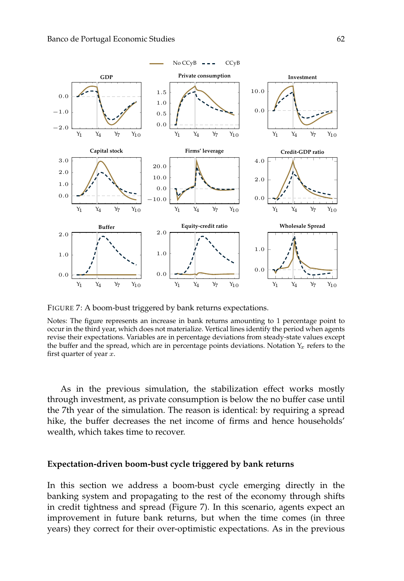

FIGURE 7: A boom-bust triggered by bank returns expectations.

Notes: The figure represents an increase in bank returns amounting to 1 percentage point to occur in the third year, which does not materialize. Vertical lines identify the period when agents revise their expectations. Variables are in percentage deviations from steady-state values except the buffer and the spread, which are in percentage points deviations. Notation  $Y_x$  refers to the first quarter of year  $x$ .

As in the previous simulation, the stabilization effect works mostly through investment, as private consumption is below the no buffer case until the 7th year of the simulation. The reason is identical: by requiring a spread hike, the buffer decreases the net income of firms and hence households' wealth, which takes time to recover.

#### **Expectation-driven boom-bust cycle triggered by bank returns**

In this section we address a boom-bust cycle emerging directly in the banking system and propagating to the rest of the economy through shifts in credit tightness and spread (Figure 7). In this scenario, agents expect an improvement in future bank returns, but when the time comes (in three years) they correct for their over-optimistic expectations. As in the previous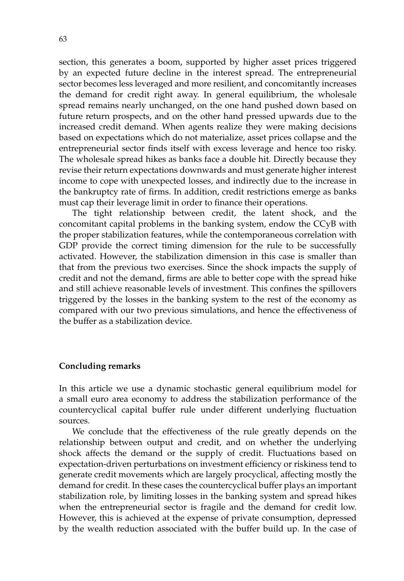section, this generates a boom, supported by higher asset prices triggered by an expected future decline in the interest spread. The entrepreneurial sector becomes less leveraged and more resilient, and concomitantly increases the demand for credit right away. In general equilibrium, the wholesale spread remains nearly unchanged, on the one hand pushed down based on future return prospects, and on the other hand pressed upwards due to the increased credit demand. When agents realize they were making decisions based on expectations which do not materialize, asset prices collapse and the entrepreneurial sector finds itself with excess leverage and hence too risky. The wholesale spread hikes as banks face a double hit. Directly because they revise their return expectations downwards and must generate higher interest income to cope with unexpected losses, and indirectly due to the increase in the bankruptcy rate of firms. In addition, credit restrictions emerge as banks must cap their leverage limit in order to finance their operations.

The tight relationship between credit, the latent shock, and the concomitant capital problems in the banking system, endow the CCyB with the proper stabilization features, while the contemporaneous correlation with GDP provide the correct timing dimension for the rule to be successfully activated. However, the stabilization dimension in this case is smaller than that from the previous two exercises. Since the shock impacts the supply of credit and not the demand, firms are able to better cope with the spread hike and still achieve reasonable levels of investment. This confines the spillovers triggered by the losses in the banking system to the rest of the economy as compared with our two previous simulations, and hence the effectiveness of the buffer as a stabilization device.

## **Concluding remarks**

In this article we use a dynamic stochastic general equilibrium model for a small euro area economy to address the stabilization performance of the countercyclical capital buffer rule under different underlying fluctuation sources.

We conclude that the effectiveness of the rule greatly depends on the relationship between output and credit, and on whether the underlying shock affects the demand or the supply of credit. Fluctuations based on expectation-driven perturbations on investment efficiency or riskiness tend to generate credit movements which are largely procyclical, affecting mostly the demand for credit. In these cases the countercyclical buffer plays an important stabilization role, by limiting losses in the banking system and spread hikes when the entrepreneurial sector is fragile and the demand for credit low. However, this is achieved at the expense of private consumption, depressed by the wealth reduction associated with the buffer build up. In the case of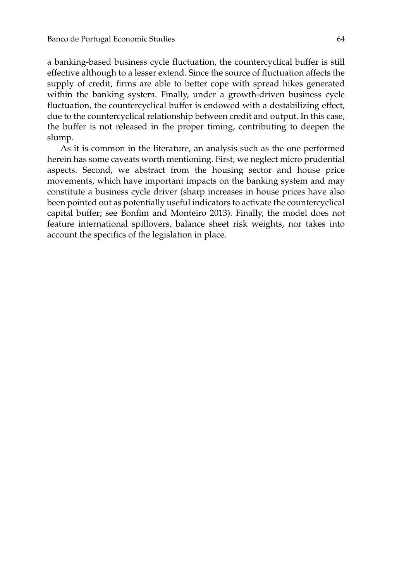a banking-based business cycle fluctuation, the countercyclical buffer is still effective although to a lesser extend. Since the source of fluctuation affects the supply of credit, firms are able to better cope with spread hikes generated within the banking system. Finally, under a growth-driven business cycle fluctuation, the countercyclical buffer is endowed with a destabilizing effect, due to the countercyclical relationship between credit and output. In this case, the buffer is not released in the proper timing, contributing to deepen the slump.

As it is common in the literature, an analysis such as the one performed herein has some caveats worth mentioning. First, we neglect micro prudential aspects. Second, we abstract from the housing sector and house price movements, which have important impacts on the banking system and may constitute a business cycle driver (sharp increases in house prices have also been pointed out as potentially useful indicators to activate the countercyclical capital buffer; see Bonfim and Monteiro 2013). Finally, the model does not feature international spillovers, balance sheet risk weights, nor takes into account the specifics of the legislation in place.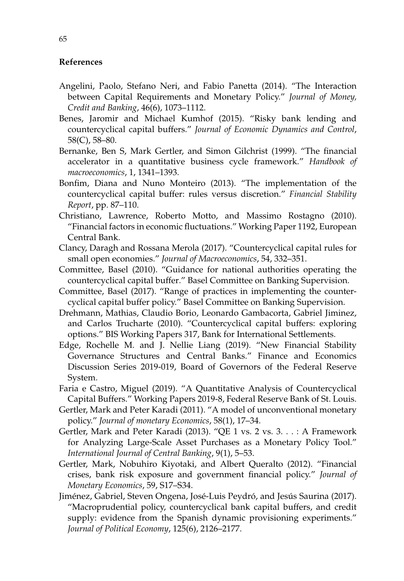## **References**

- Angelini, Paolo, Stefano Neri, and Fabio Panetta (2014). "The Interaction between Capital Requirements and Monetary Policy." *Journal of Money, Credit and Banking*, 46(6), 1073–1112.
- Benes, Jaromir and Michael Kumhof (2015). "Risky bank lending and countercyclical capital buffers." *Journal of Economic Dynamics and Control*, 58(C), 58–80.
- Bernanke, Ben S, Mark Gertler, and Simon Gilchrist (1999). "The financial accelerator in a quantitative business cycle framework." *Handbook of macroeconomics*, 1, 1341–1393.
- Bonfim, Diana and Nuno Monteiro (2013). "The implementation of the countercyclical capital buffer: rules versus discretion." *Financial Stability Report*, pp. 87–110.
- Christiano, Lawrence, Roberto Motto, and Massimo Rostagno (2010). "Financial factors in economic fluctuations." Working Paper 1192, European Central Bank.
- Clancy, Daragh and Rossana Merola (2017). "Countercyclical capital rules for small open economies." *Journal of Macroeconomics*, 54, 332–351.
- Committee, Basel (2010). "Guidance for national authorities operating the countercyclical capital buffer." Basel Committee on Banking Supervision.
- Committee, Basel (2017). "Range of practices in implementing the countercyclical capital buffer policy." Basel Committee on Banking Supervision.
- Drehmann, Mathias, Claudio Borio, Leonardo Gambacorta, Gabriel Jiminez, and Carlos Trucharte (2010). "Countercyclical capital buffers: exploring options." BIS Working Papers 317, Bank for International Settlements.
- Edge, Rochelle M. and J. Nellie Liang (2019). "New Financial Stability Governance Structures and Central Banks." Finance and Economics Discussion Series 2019-019, Board of Governors of the Federal Reserve System.
- Faria e Castro, Miguel (2019). "A Quantitative Analysis of Countercyclical Capital Buffers." Working Papers 2019-8, Federal Reserve Bank of St. Louis.
- Gertler, Mark and Peter Karadi (2011). "A model of unconventional monetary policy." *Journal of monetary Economics*, 58(1), 17–34.
- Gertler, Mark and Peter Karadi (2013). "QE 1 vs. 2 vs. 3. . . : A Framework for Analyzing Large-Scale Asset Purchases as a Monetary Policy Tool." *International Journal of Central Banking*, 9(1), 5–53.
- Gertler, Mark, Nobuhiro Kiyotaki, and Albert Queralto (2012). "Financial crises, bank risk exposure and government financial policy." *Journal of Monetary Economics*, 59, S17–S34.
- Jiménez, Gabriel, Steven Ongena, José-Luis Peydró, and Jesús Saurina (2017). "Macroprudential policy, countercyclical bank capital buffers, and credit supply: evidence from the Spanish dynamic provisioning experiments." *Journal of Political Economy*, 125(6), 2126–2177.